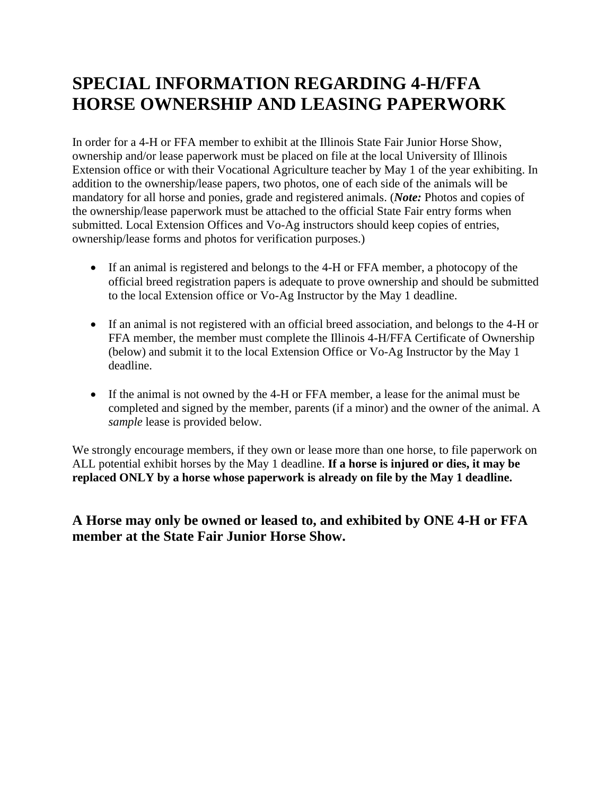## **SPECIAL INFORMATION REGARDING 4-H/FFA HORSE OWNERSHIP AND LEASING PAPERWORK**

In order for a 4-H or FFA member to exhibit at the Illinois State Fair Junior Horse Show, ownership and/or lease paperwork must be placed on file at the local University of Illinois Extension office or with their Vocational Agriculture teacher by May 1 of the year exhibiting. In addition to the ownership/lease papers, two photos, one of each side of the animals will be mandatory for all horse and ponies, grade and registered animals. (*Note:* Photos and copies of the ownership/lease paperwork must be attached to the official State Fair entry forms when submitted. Local Extension Offices and Vo-Ag instructors should keep copies of entries, ownership/lease forms and photos for verification purposes.)

- If an animal is registered and belongs to the 4-H or FFA member, a photocopy of the official breed registration papers is adequate to prove ownership and should be submitted to the local Extension office or Vo-Ag Instructor by the May 1 deadline.
- If an animal is not registered with an official breed association, and belongs to the 4-H or FFA member, the member must complete the Illinois 4-H/FFA Certificate of Ownership (below) and submit it to the local Extension Office or Vo-Ag Instructor by the May 1 deadline.
- If the animal is not owned by the 4-H or FFA member, a lease for the animal must be completed and signed by the member, parents (if a minor) and the owner of the animal. A *sample* lease is provided below.

We strongly encourage members, if they own or lease more than one horse, to file paperwork on ALL potential exhibit horses by the May 1 deadline. **If a horse is injured or dies, it may be replaced ONLY by a horse whose paperwork is already on file by the May 1 deadline.**

## **A Horse may only be owned or leased to, and exhibited by ONE 4-H or FFA member at the State Fair Junior Horse Show.**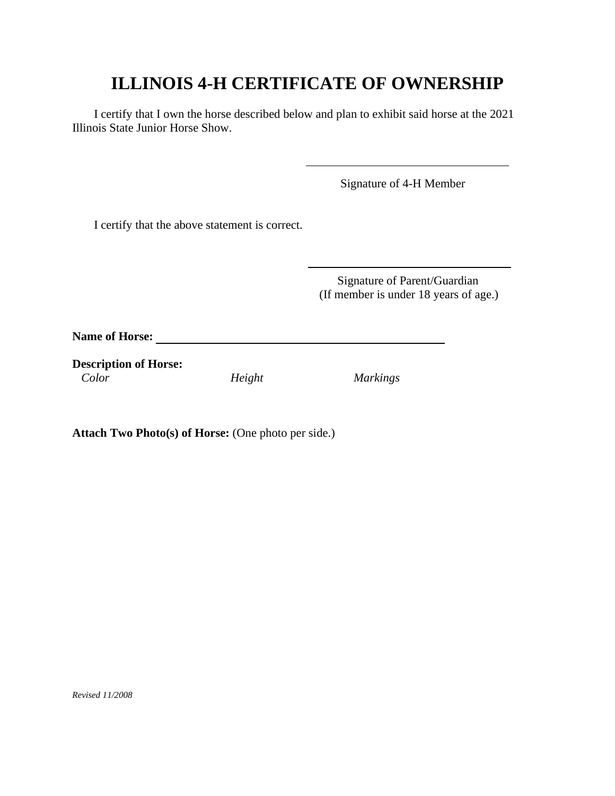## **ILLINOIS 4-H CERTIFICATE OF OWNERSHIP**

֖֖֖֚֚֚֚֬֝֬

<u>.</u>

I certify that I own the horse described below and plan to exhibit said horse at the 2021 Illinois State Junior Horse Show.

Signature of 4-H Member

I certify that the above statement is correct.

 Signature of Parent/Guardian (If member is under 18 years of age.)

**Name of Horse:**

**Description of Horse:**  *Color Height Markings* 

**Attach Two Photo(s) of Horse:** (One photo per side.)